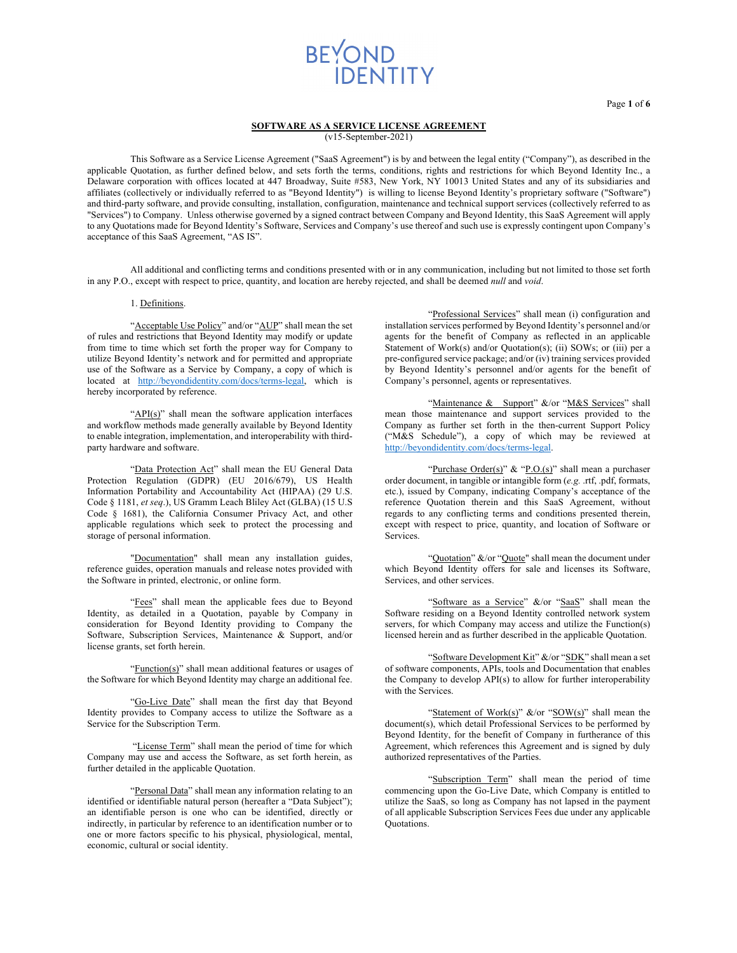Page **1** of **6**

### **SOFTWARE AS A SERVICE LICENSE AGREEMENT**

(v15-September-2021)

This Software as a Service License Agreement ("SaaS Agreement") is by and between the legal entity ("Company"), as described in the applicable Quotation, as further defined below, and sets forth the terms, conditions, rights and restrictions for which Beyond Identity Inc., a Delaware corporation with offices located at 447 Broadway, Suite #583, New York, NY 10013 United States and any of its subsidiaries and affiliates (collectively or individually referred to as "Beyond Identity") is willing to license Beyond Identity's proprietary software ("Software") and third-party software, and provide consulting, installation, configuration, maintenance and technical support services (collectively referred to as "Services") to Company. Unless otherwise governed by a signed contract between Company and Beyond Identity, this SaaS Agreement will apply to any Quotations made for Beyond Identity's Software, Services and Company's use thereof and such use is expressly contingent upon Company's acceptance of this SaaS Agreement, "AS IS".

All additional and conflicting terms and conditions presented with or in any communication, including but not limited to those set forth in any P.O., except with respect to price, quantity, and location are hereby rejected, and shall be deemed *null* and *void*.

#### 1. Definitions.

"Acceptable Use Policy" and/or "AUP" shall mean the set of rules and restrictions that Beyond Identity may modify or update from time to time which set forth the proper way for Company to utilize Beyond Identity's network and for permitted and appropriate use of the Software as a Service by Company, a copy of which is located at http://beyondidentity.com/docs/terms-legal, which is hereby incorporated by reference.

"API(s)" shall mean the software application interfaces and workflow methods made generally available by Beyond Identity to enable integration, implementation, and interoperability with thirdparty hardware and software.

"Data Protection Act" shall mean the EU General Data Protection Regulation (GDPR) (EU 2016/679), US Health Information Portability and Accountability Act (HIPAA) (29 U.S. Code § 1181, *et seq*.), US Gramm Leach Bliley Act (GLBA) (15 U.S Code § 1681), the California Consumer Privacy Act, and other applicable regulations which seek to protect the processing and storage of personal information.

"Documentation" shall mean any installation guides, reference guides, operation manuals and release notes provided with the Software in printed, electronic, or online form.

"Fees" shall mean the applicable fees due to Beyond Identity, as detailed in a Quotation, payable by Company in consideration for Beyond Identity providing to Company the Software, Subscription Services, Maintenance & Support, and/or license grants, set forth herein.

"Function(s)" shall mean additional features or usages of the Software for which Beyond Identity may charge an additional fee.

"Go-Live Date" shall mean the first day that Beyond Identity provides to Company access to utilize the Software as a Service for the Subscription Term.

"License Term" shall mean the period of time for which Company may use and access the Software, as set forth herein, as further detailed in the applicable Quotation.

"Personal Data" shall mean any information relating to an identified or identifiable natural person (hereafter a "Data Subject"); an identifiable person is one who can be identified, directly or indirectly, in particular by reference to an identification number or to one or more factors specific to his physical, physiological, mental, economic, cultural or social identity.

"Professional Services" shall mean (i) configuration and installation services performed by Beyond Identity's personnel and/or agents for the benefit of Company as reflected in an applicable Statement of Work(s) and/or Quotation(s); (ii) SOWs; or (iii) per a pre-configured service package; and/or (iv) training services provided by Beyond Identity's personnel and/or agents for the benefit of Company's personnel, agents or representatives.

"Maintenance & Support" &/or "M&S Services" shall mean those maintenance and support services provided to the Company as further set forth in the then-current Support Policy ("M&S Schedule"), a copy of which may be reviewed at http://beyondidentity.com/docs/terms-legal.

"Purchase Order(s)" & "P.O.(s)" shall mean a purchaser order document, in tangible or intangible form (*e.g.* .rtf, .pdf, formats, etc.), issued by Company, indicating Company's acceptance of the reference Quotation therein and this SaaS Agreement, without regards to any conflicting terms and conditions presented therein, except with respect to price, quantity, and location of Software or Services.

"Quotation" &/or "Quote" shall mean the document under which Beyond Identity offers for sale and licenses its Software, Services, and other services.

"Software as a Service" &/or "SaaS" shall mean the Software residing on a Beyond Identity controlled network system servers, for which Company may access and utilize the Function(s) licensed herein and as further described in the applicable Quotation.

"Software Development Kit" &/or "SDK" shall mean a set of software components, APIs, tools and Documentation that enables the Company to develop API(s) to allow for further interoperability with the Services.

"Statement of Work(s)" &/or "SOW(s)" shall mean the document(s), which detail Professional Services to be performed by Beyond Identity, for the benefit of Company in furtherance of this Agreement, which references this Agreement and is signed by duly authorized representatives of the Parties.

"Subscription Term" shall mean the period of time commencing upon the Go-Live Date, which Company is entitled to utilize the SaaS, so long as Company has not lapsed in the payment of all applicable Subscription Services Fees due under any applicable Quotations.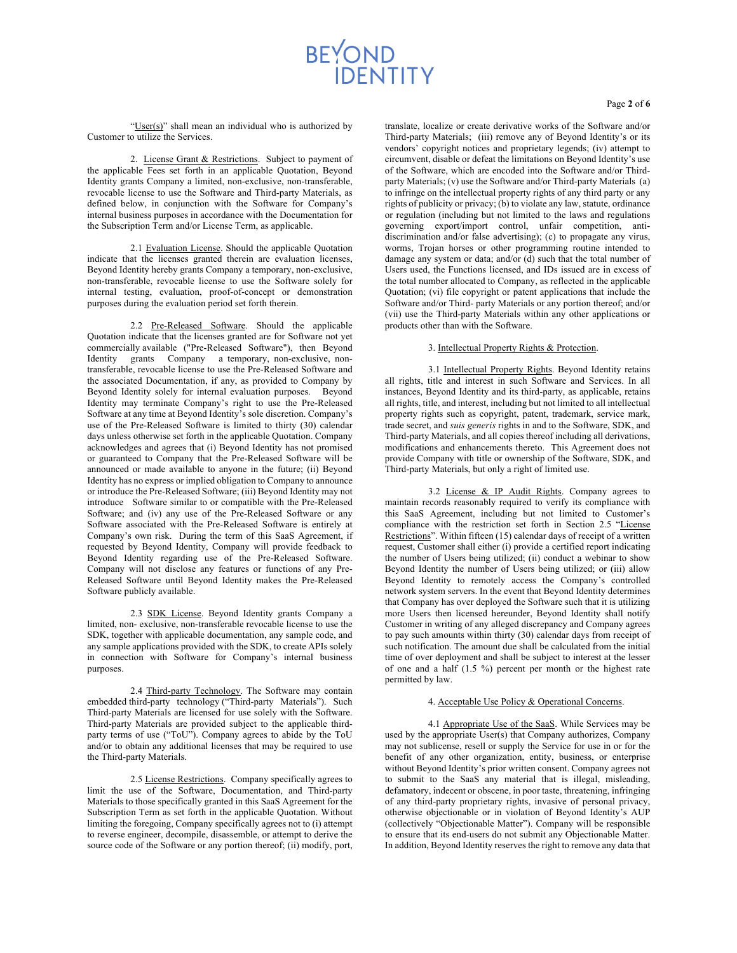Page **2** of **6**

"User(s)" shall mean an individual who is authorized by Customer to utilize the Services.

2. License Grant & Restrictions. Subject to payment of the applicable Fees set forth in an applicable Quotation, Beyond Identity grants Company a limited, non-exclusive, non-transferable, revocable license to use the Software and Third-party Materials, as defined below, in conjunction with the Software for Company's internal business purposes in accordance with the Documentation for the Subscription Term and/or License Term, as applicable.

2.1 Evaluation License. Should the applicable Quotation indicate that the licenses granted therein are evaluation licenses, Beyond Identity hereby grants Company a temporary, non-exclusive, non-transferable, revocable license to use the Software solely for internal testing, evaluation, proof-of-concept or demonstration purposes during the evaluation period set forth therein.

2.2 Pre-Released Software. Should the applicable Quotation indicate that the licenses granted are for Software not yet commercially available ("Pre-Released Software"), then Beyond Identity grants Company a temporary, non-exclusive, nontransferable, revocable license to use the Pre-Released Software and the associated Documentation, if any, as provided to Company by Beyond Identity solely for internal evaluation purposes. Beyond Identity may terminate Company's right to use the Pre-Released Software at any time at Beyond Identity's sole discretion. Company's use of the Pre-Released Software is limited to thirty (30) calendar days unless otherwise set forth in the applicable Quotation. Company acknowledges and agrees that (i) Beyond Identity has not promised or guaranteed to Company that the Pre-Released Software will be announced or made available to anyone in the future; (ii) Beyond Identity has no express or implied obligation to Company to announce or introduce the Pre-Released Software; (iii) Beyond Identity may not introduce Software similar to or compatible with the Pre-Released Software; and (iv) any use of the Pre-Released Software or any Software associated with the Pre-Released Software is entirely at Company's own risk. During the term of this SaaS Agreement, if requested by Beyond Identity, Company will provide feedback to Beyond Identity regarding use of the Pre-Released Software. Company will not disclose any features or functions of any Pre-Released Software until Beyond Identity makes the Pre-Released Software publicly available.

2.3 SDK License. Beyond Identity grants Company a limited, non- exclusive, non-transferable revocable license to use the SDK, together with applicable documentation, any sample code, and any sample applications provided with the SDK, to create APIs solely in connection with Software for Company's internal business purposes.

2.4 Third-party Technology. The Software may contain embedded third-party technology ("Third-party Materials"). Such Third-party Materials are licensed for use solely with the Software. Third-party Materials are provided subject to the applicable thirdparty terms of use ("ToU"). Company agrees to abide by the ToU and/or to obtain any additional licenses that may be required to use the Third-party Materials.

2.5 License Restrictions. Company specifically agrees to limit the use of the Software, Documentation, and Third-party Materials to those specifically granted in this SaaS Agreement for the Subscription Term as set forth in the applicable Quotation. Without limiting the foregoing, Company specifically agrees not to (i) attempt to reverse engineer, decompile, disassemble, or attempt to derive the source code of the Software or any portion thereof; (ii) modify, port, translate, localize or create derivative works of the Software and/or Third-party Materials; (iii) remove any of Beyond Identity's or its vendors' copyright notices and proprietary legends; (iv) attempt to circumvent, disable or defeat the limitations on Beyond Identity's use of the Software, which are encoded into the Software and/or Thirdparty Materials; (v) use the Software and/or Third-party Materials (a) to infringe on the intellectual property rights of any third party or any rights of publicity or privacy; (b) to violate any law, statute, ordinance or regulation (including but not limited to the laws and regulations governing export/import control, unfair competition, antidiscrimination and/or false advertising); (c) to propagate any virus, worms, Trojan horses or other programming routine intended to damage any system or data; and/or (d) such that the total number of Users used, the Functions licensed, and IDs issued are in excess of the total number allocated to Company, as reflected in the applicable Quotation; (vi) file copyright or patent applications that include the Software and/or Third- party Materials or any portion thereof; and/or (vii) use the Third-party Materials within any other applications or products other than with the Software.

#### 3. Intellectual Property Rights & Protection.

3.1 Intellectual Property Rights. Beyond Identity retains all rights, title and interest in such Software and Services. In all instances, Beyond Identity and its third-party, as applicable, retains all rights, title, and interest, including but not limited to all intellectual property rights such as copyright, patent, trademark, service mark, trade secret, and *suis generis* rights in and to the Software, SDK, and Third-party Materials, and all copies thereof including all derivations, modifications and enhancements thereto. This Agreement does not provide Company with title or ownership of the Software, SDK, and Third-party Materials, but only a right of limited use.

3.2 License & IP Audit Rights. Company agrees to maintain records reasonably required to verify its compliance with this SaaS Agreement, including but not limited to Customer's compliance with the restriction set forth in Section 2.5 "License Restrictions". Within fifteen (15) calendar days of receipt of a written request, Customer shall either (i) provide a certified report indicating the number of Users being utilized; (ii) conduct a webinar to show Beyond Identity the number of Users being utilized; or (iii) allow Beyond Identity to remotely access the Company's controlled network system servers. In the event that Beyond Identity determines that Company has over deployed the Software such that it is utilizing more Users then licensed hereunder, Beyond Identity shall notify Customer in writing of any alleged discrepancy and Company agrees to pay such amounts within thirty (30) calendar days from receipt of such notification. The amount due shall be calculated from the initial time of over deployment and shall be subject to interest at the lesser of one and a half (1.5 %) percent per month or the highest rate permitted by law.

#### 4. Acceptable Use Policy & Operational Concerns.

4.1 Appropriate Use of the SaaS. While Services may be used by the appropriate User(s) that Company authorizes, Company may not sublicense, resell or supply the Service for use in or for the benefit of any other organization, entity, business, or enterprise without Beyond Identity's prior written consent. Company agrees not to submit to the SaaS any material that is illegal, misleading, defamatory, indecent or obscene, in poor taste, threatening, infringing of any third-party proprietary rights, invasive of personal privacy, otherwise objectionable or in violation of Beyond Identity's AUP (collectively "Objectionable Matter"). Company will be responsible to ensure that its end-users do not submit any Objectionable Matter. In addition, Beyond Identity reserves the right to remove any data that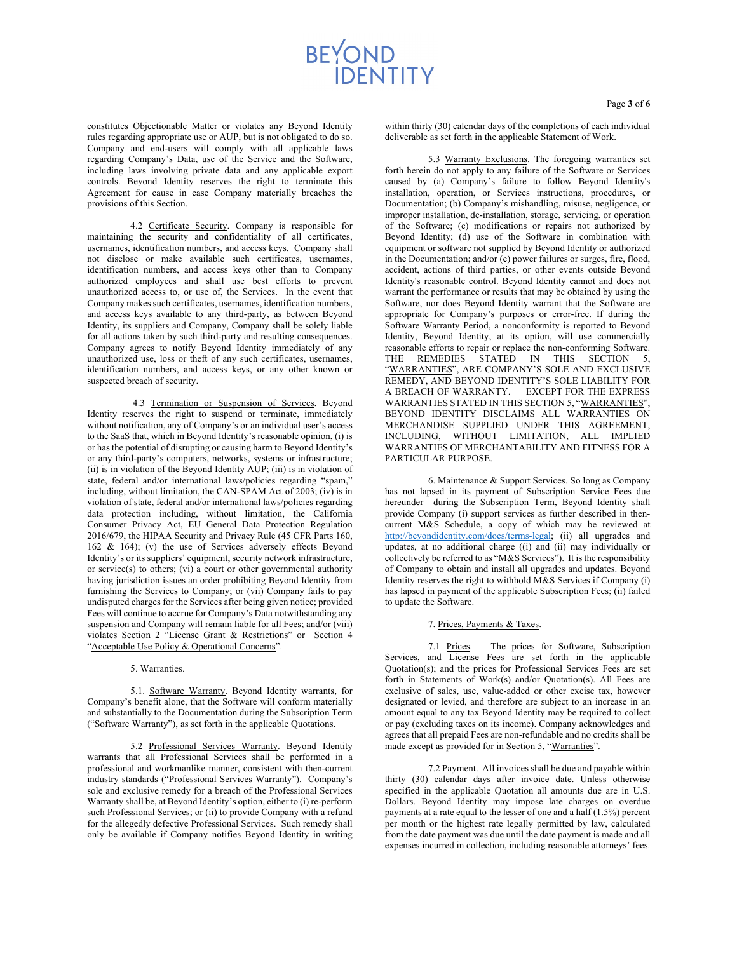constitutes Objectionable Matter or violates any Beyond Identity rules regarding appropriate use or AUP, but is not obligated to do so. Company and end-users will comply with all applicable laws regarding Company's Data, use of the Service and the Software, including laws involving private data and any applicable export controls. Beyond Identity reserves the right to terminate this Agreement for cause in case Company materially breaches the provisions of this Section.

4.2 Certificate Security. Company is responsible for maintaining the security and confidentiality of all certificates, usernames, identification numbers, and access keys. Company shall not disclose or make available such certificates, usernames, identification numbers, and access keys other than to Company authorized employees and shall use best efforts to prevent unauthorized access to, or use of, the Services. In the event that Company makes such certificates, usernames, identification numbers, and access keys available to any third-party, as between Beyond Identity, its suppliers and Company, Company shall be solely liable for all actions taken by such third-party and resulting consequences. Company agrees to notify Beyond Identity immediately of any unauthorized use, loss or theft of any such certificates, usernames, identification numbers, and access keys, or any other known or suspected breach of security.

4.3 Termination or Suspension of Services. Beyond Identity reserves the right to suspend or terminate, immediately without notification, any of Company's or an individual user's access to the SaaS that, which in Beyond Identity's reasonable opinion, (i) is or has the potential of disrupting or causing harm to Beyond Identity's or any third-party's computers, networks, systems or infrastructure; (ii) is in violation of the Beyond Identity AUP; (iii) is in violation of state, federal and/or international laws/policies regarding "spam," including, without limitation, the CAN-SPAM Act of 2003; (iv) is in violation of state, federal and/or international laws/policies regarding data protection including, without limitation, the California Consumer Privacy Act, EU General Data Protection Regulation 2016/679, the HIPAA Security and Privacy Rule (45 CFR Parts 160, 162 & 164); (v) the use of Services adversely effects Beyond Identity's or its suppliers' equipment, security network infrastructure, or service(s) to others; (vi) a court or other governmental authority having jurisdiction issues an order prohibiting Beyond Identity from furnishing the Services to Company; or (vii) Company fails to pay undisputed charges for the Services after being given notice; provided Fees will continue to accrue for Company's Data notwithstanding any suspension and Company will remain liable for all Fees; and/or (viii) violates Section 2 "License Grant & Restrictions" or Section 4 "Acceptable Use Policy & Operational Concerns".

#### 5. Warranties.

5.1. Software Warranty. Beyond Identity warrants, for Company's benefit alone, that the Software will conform materially and substantially to the Documentation during the Subscription Term ("Software Warranty"), as set forth in the applicable Quotations.

5.2 Professional Services Warranty. Beyond Identity warrants that all Professional Services shall be performed in a professional and workmanlike manner, consistent with then-current industry standards ("Professional Services Warranty"). Company's sole and exclusive remedy for a breach of the Professional Services Warranty shall be, at Beyond Identity's option, either to (i) re-perform such Professional Services; or (ii) to provide Company with a refund for the allegedly defective Professional Services. Such remedy shall only be available if Company notifies Beyond Identity in writing within thirty (30) calendar days of the completions of each individual deliverable as set forth in the applicable Statement of Work.

5.3 Warranty Exclusions. The foregoing warranties set forth herein do not apply to any failure of the Software or Services caused by (a) Company's failure to follow Beyond Identity's installation, operation, or Services instructions, procedures, or Documentation; (b) Company's mishandling, misuse, negligence, or improper installation, de-installation, storage, servicing, or operation of the Software; (c) modifications or repairs not authorized by Beyond Identity; (d) use of the Software in combination with equipment or software not supplied by Beyond Identity or authorized in the Documentation; and/or (e) power failures or surges, fire, flood, accident, actions of third parties, or other events outside Beyond Identity's reasonable control. Beyond Identity cannot and does not warrant the performance or results that may be obtained by using the Software, nor does Beyond Identity warrant that the Software are appropriate for Company's purposes or error-free. If during the Software Warranty Period, a nonconformity is reported to Beyond Identity, Beyond Identity, at its option, will use commercially reasonable efforts to repair or replace the non-conforming Software. THE REMEDIES STATED IN THIS SECTION 5, "WARRANTIES", ARE COMPANY'S SOLE AND EXCLUSIVE REMEDY, AND BEYOND IDENTITY'S SOLE LIABILITY FOR A BREACH OF WARRANTY. EXCEPT FOR THE EXPRESS WARRANTIES STATED IN THIS SECTION 5, "WARRANTIES", BEYOND IDENTITY DISCLAIMS ALL WARRANTIES ON MERCHANDISE SUPPLIED UNDER THIS AGREEMENT, INCLUDING, WITHOUT LIMITATION, ALL IMPLIED WARRANTIES OF MERCHANTABILITY AND FITNESS FOR A PARTICULAR PURPOSE.

6. Maintenance & Support Services. So long as Company has not lapsed in its payment of Subscription Service Fees due hereunder during the Subscription Term, Beyond Identity shall provide Company (i) support services as further described in thencurrent M&S Schedule, a copy of which may be reviewed at http://beyondidentity.com/docs/terms-legal; (ii) all upgrades and updates, at no additional charge ((i) and (ii) may individually or collectively be referred to as "M&S Services"). It is the responsibility of Company to obtain and install all upgrades and updates. Beyond Identity reserves the right to withhold M&S Services if Company (i) has lapsed in payment of the applicable Subscription Fees; (ii) failed to update the Software.

### 7. Prices, Payments & Taxes.

7.1 Prices. The prices for Software, Subscription Services, and License Fees are set forth in the applicable Quotation(s); and the prices for Professional Services Fees are set forth in Statements of Work(s) and/or Quotation(s). All Fees are exclusive of sales, use, value-added or other excise tax, however designated or levied, and therefore are subject to an increase in an amount equal to any tax Beyond Identity may be required to collect or pay (excluding taxes on its income). Company acknowledges and agrees that all prepaid Fees are non-refundable and no credits shall be made except as provided for in Section 5, "Warranties".

7.2 Payment. All invoices shall be due and payable within thirty (30) calendar days after invoice date. Unless otherwise specified in the applicable Quotation all amounts due are in U.S. Dollars. Beyond Identity may impose late charges on overdue payments at a rate equal to the lesser of one and a half (1.5%) percent per month or the highest rate legally permitted by law, calculated from the date payment was due until the date payment is made and all expenses incurred in collection, including reasonable attorneys' fees.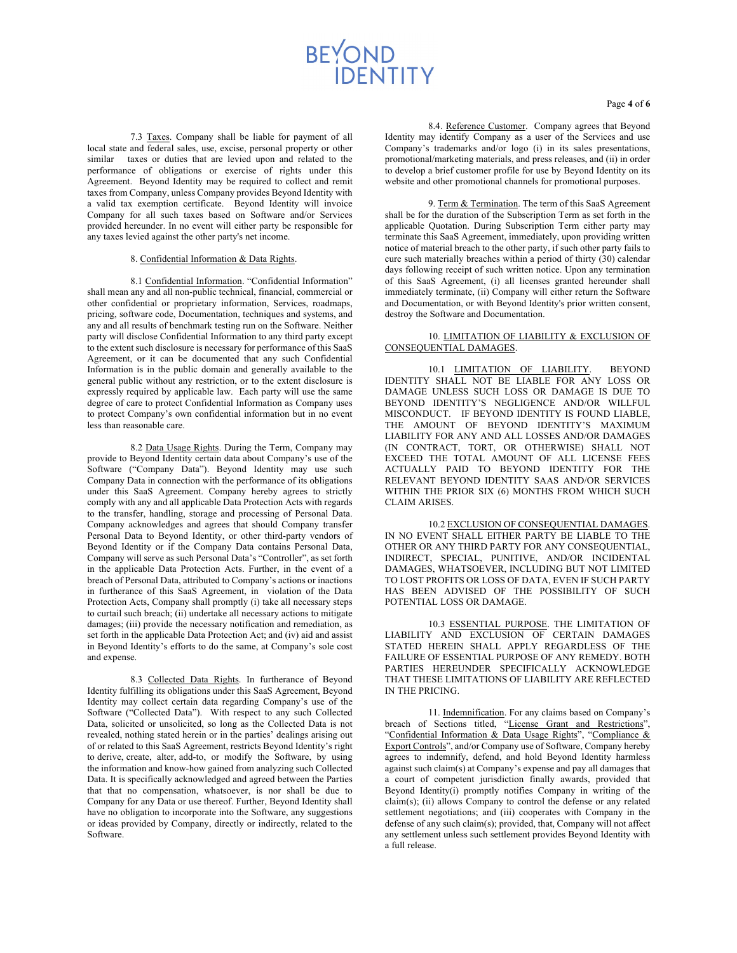7.3 Taxes. Company shall be liable for payment of all local state and federal sales, use, excise, personal property or other similar taxes or duties that are levied upon and related to the performance of obligations or exercise of rights under this Agreement. Beyond Identity may be required to collect and remit taxes from Company, unless Company provides Beyond Identity with a valid tax exemption certificate. Beyond Identity will invoice Company for all such taxes based on Software and/or Services provided hereunder. In no event will either party be responsible for any taxes levied against the other party's net income.

#### 8. Confidential Information & Data Rights.

8.1 Confidential Information. "Confidential Information" shall mean any and all non-public technical, financial, commercial or other confidential or proprietary information, Services, roadmaps, pricing, software code, Documentation, techniques and systems, and any and all results of benchmark testing run on the Software. Neither party will disclose Confidential Information to any third party except to the extent such disclosure is necessary for performance of this SaaS Agreement, or it can be documented that any such Confidential Information is in the public domain and generally available to the general public without any restriction, or to the extent disclosure is expressly required by applicable law. Each party will use the same degree of care to protect Confidential Information as Company uses to protect Company's own confidential information but in no event less than reasonable care.

8.2 Data Usage Rights. During the Term, Company may provide to Beyond Identity certain data about Company's use of the Software ("Company Data"). Beyond Identity may use such Company Data in connection with the performance of its obligations under this SaaS Agreement. Company hereby agrees to strictly comply with any and all applicable Data Protection Acts with regards to the transfer, handling, storage and processing of Personal Data. Company acknowledges and agrees that should Company transfer Personal Data to Beyond Identity, or other third-party vendors of Beyond Identity or if the Company Data contains Personal Data, Company will serve as such Personal Data's "Controller", as set forth in the applicable Data Protection Acts. Further, in the event of a breach of Personal Data, attributed to Company's actions or inactions in furtherance of this SaaS Agreement, in violation of the Data Protection Acts, Company shall promptly (i) take all necessary steps to curtail such breach; (ii) undertake all necessary actions to mitigate damages; (iii) provide the necessary notification and remediation, as set forth in the applicable Data Protection Act; and (iv) aid and assist in Beyond Identity's efforts to do the same, at Company's sole cost and expense.

8.3 Collected Data Rights. In furtherance of Beyond Identity fulfilling its obligations under this SaaS Agreement, Beyond Identity may collect certain data regarding Company's use of the Software ("Collected Data"). With respect to any such Collected Data, solicited or unsolicited, so long as the Collected Data is not revealed, nothing stated herein or in the parties' dealings arising out of or related to this SaaS Agreement, restricts Beyond Identity's right to derive, create, alter, add-to, or modify the Software, by using the information and know-how gained from analyzing such Collected Data. It is specifically acknowledged and agreed between the Parties that that no compensation, whatsoever, is nor shall be due to Company for any Data or use thereof. Further, Beyond Identity shall have no obligation to incorporate into the Software, any suggestions or ideas provided by Company, directly or indirectly, related to the Software.

Page **4** of **6**

8.4. Reference Customer. Company agrees that Beyond Identity may identify Company as a user of the Services and use Company's trademarks and/or logo (i) in its sales presentations, promotional/marketing materials, and press releases, and (ii) in order to develop a brief customer profile for use by Beyond Identity on its website and other promotional channels for promotional purposes.

9. Term & Termination. The term of this SaaS Agreement shall be for the duration of the Subscription Term as set forth in the applicable Quotation. During Subscription Term either party may terminate this SaaS Agreement, immediately, upon providing written notice of material breach to the other party, if such other party fails to cure such materially breaches within a period of thirty (30) calendar days following receipt of such written notice. Upon any termination of this SaaS Agreement, (i) all licenses granted hereunder shall immediately terminate, (ii) Company will either return the Software and Documentation, or with Beyond Identity's prior written consent, destroy the Software and Documentation.

### 10. LIMITATION OF LIABILITY & EXCLUSION OF CONSEQUENTIAL DAMAGES.

10.1 LIMITATION OF LIABILITY. BEYOND IDENTITY SHALL NOT BE LIABLE FOR ANY LOSS OR DAMAGE UNLESS SUCH LOSS OR DAMAGE IS DUE TO BEYOND IDENTITY'S NEGLIGENCE AND/OR WILLFUL MISCONDUCT. IF BEYOND IDENTITY IS FOUND LIABLE, THE AMOUNT OF BEYOND IDENTITY'S MAXIMUM LIABILITY FOR ANY AND ALL LOSSES AND/OR DAMAGES (IN CONTRACT, TORT, OR OTHERWISE) SHALL NOT EXCEED THE TOTAL AMOUNT OF ALL LICENSE FEES ACTUALLY PAID TO BEYOND IDENTITY FOR THE RELEVANT BEYOND IDENTITY SAAS AND/OR SERVICES WITHIN THE PRIOR SIX (6) MONTHS FROM WHICH SUCH CLAIM ARISES.

10.2 EXCLUSION OF CONSEQUENTIAL DAMAGES. IN NO EVENT SHALL EITHER PARTY BE LIABLE TO THE OTHER OR ANY THIRD PARTY FOR ANY CONSEQUENTIAL, INDIRECT, SPECIAL, PUNITIVE, AND/OR INCIDENTAL DAMAGES, WHATSOEVER, INCLUDING BUT NOT LIMITED TO LOST PROFITS OR LOSS OF DATA, EVEN IF SUCH PARTY HAS BEEN ADVISED OF THE POSSIBILITY OF SUCH POTENTIAL LOSS OR DAMAGE.

10.3 ESSENTIAL PURPOSE. THE LIMITATION OF LIABILITY AND EXCLUSION OF CERTAIN DAMAGES STATED HEREIN SHALL APPLY REGARDLESS OF THE FAILURE OF ESSENTIAL PURPOSE OF ANY REMEDY. BOTH PARTIES HEREUNDER SPECIFICALLY ACKNOWLEDGE THAT THESE LIMITATIONS OF LIABILITY ARE REFLECTED IN THE PRICING.

11. Indemnification. For any claims based on Company's breach of Sections titled, "License Grant and Restrictions", "Confidential Information & Data Usage Rights", "Compliance & Export Controls", and/or Company use of Software, Company hereby agrees to indemnify, defend, and hold Beyond Identity harmless against such claim(s) at Company's expense and pay all damages that a court of competent jurisdiction finally awards, provided that Beyond Identity(i) promptly notifies Company in writing of the claim(s); (ii) allows Company to control the defense or any related settlement negotiations; and (iii) cooperates with Company in the defense of any such claim(s); provided, that, Company will not affect any settlement unless such settlement provides Beyond Identity with a full release.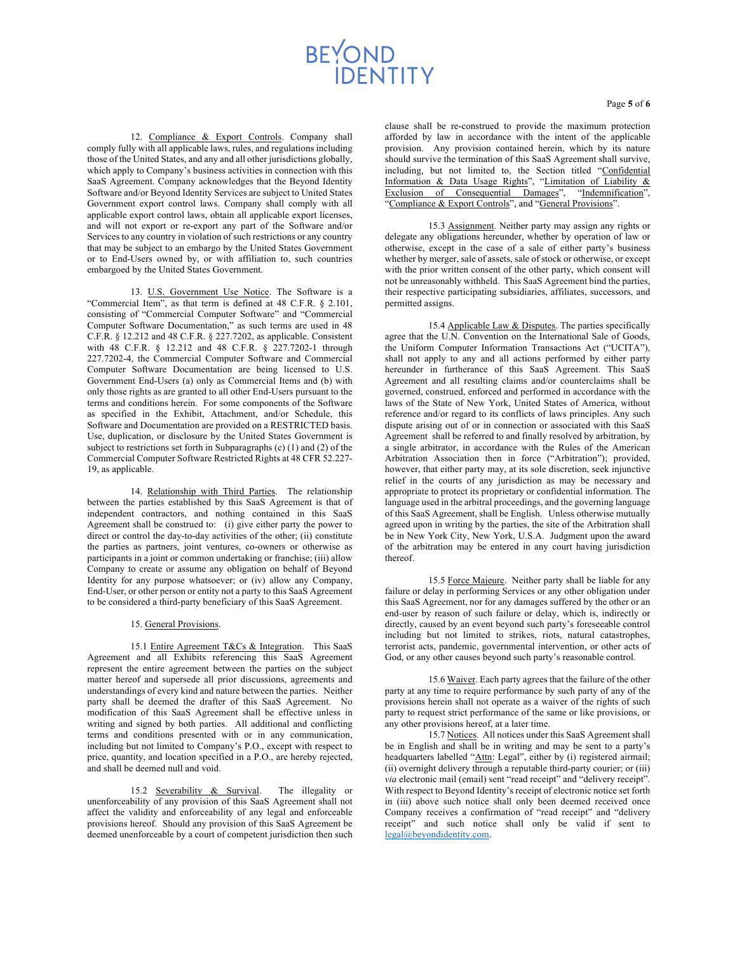12. Compliance & Export Controls. Company shall comply fully with all applicable laws, rules, and regulations including those of the United States, and any and all other jurisdictions globally, which apply to Company's business activities in connection with this SaaS Agreement. Company acknowledges that the Beyond Identity Software and/or Beyond Identity Services are subject to United States Government export control laws. Company shall comply with all applicable export control laws, obtain all applicable export licenses, and will not export or re-export any part of the Software and/or Services to any country in violation of such restrictions or any country that may be subject to an embargo by the United States Government or to End-Users owned by, or with affiliation to, such countries embargoed by the United States Government.

13. U.S. Government Use Notice. The Software is a "Commercial Item", as that term is defined at 48 C.F.R. § 2.101, consisting of "Commercial Computer Software" and "Commercial Computer Software Documentation," as such terms are used in 48 C.F.R. § 12.212 and 48 C.F.R. § 227.7202, as applicable. Consistent with 48 C.F.R. § 12.212 and 48 C.F.R. § 227.7202-1 through 227.7202-4, the Commercial Computer Software and Commercial Computer Software Documentation are being licensed to U.S. Government End-Users (a) only as Commercial Items and (b) with only those rights as are granted to all other End-Users pursuant to the terms and conditions herein. For some components of the Software as specified in the Exhibit, Attachment, and/or Schedule, this Software and Documentation are provided on a RESTRICTED basis. Use, duplication, or disclosure by the United States Government is subject to restrictions set forth in Subparagraphs (c) (1) and (2) of the Commercial Computer Software Restricted Rights at 48 CFR 52.227- 19, as applicable.

14. Relationship with Third Parties. The relationship between the parties established by this SaaS Agreement is that of independent contractors, and nothing contained in this SaaS Agreement shall be construed to: (i) give either party the power to direct or control the day-to-day activities of the other; (ii) constitute the parties as partners, joint ventures, co-owners or otherwise as participants in a joint or common undertaking or franchise; (iii) allow Company to create or assume any obligation on behalf of Beyond Identity for any purpose whatsoever; or (iv) allow any Company, End-User, or other person or entity not a party to this SaaS Agreement to be considered a third-party beneficiary of this SaaS Agreement.

#### 15. General Provisions.

15.1 Entire Agreement T&Cs & Integration. This SaaS Agreement and all Exhibits referencing this SaaS Agreement represent the entire agreement between the parties on the subject matter hereof and supersede all prior discussions, agreements and understandings of every kind and nature between the parties. Neither party shall be deemed the drafter of this SaaS Agreement. No modification of this SaaS Agreement shall be effective unless in writing and signed by both parties. All additional and conflicting terms and conditions presented with or in any communication, including but not limited to Company's P.O., except with respect to price, quantity, and location specified in a P.O., are hereby rejected, and shall be deemed null and void.

15.2 Severability & Survival. The illegality or unenforceability of any provision of this SaaS Agreement shall not affect the validity and enforceability of any legal and enforceable provisions hereof. Should any provision of this SaaS Agreement be deemed unenforceable by a court of competent jurisdiction then such

clause shall be re-construed to provide the maximum protection afforded by law in accordance with the intent of the applicable provision. Any provision contained herein, which by its nature should survive the termination of this SaaS Agreement shall survive, including, but not limited to, the Section titled "Confidential Information & Data Usage Rights", "Limitation of Liability & Exclusion of Consequential Damages", "Indemnification", "Compliance & Export Controls", and "General Provisions".

15.3 Assignment. Neither party may assign any rights or delegate any obligations hereunder, whether by operation of law or otherwise, except in the case of a sale of either party's business whether by merger, sale of assets, sale of stock or otherwise, or except with the prior written consent of the other party, which consent will not be unreasonably withheld. This SaaS Agreement bind the parties, their respective participating subsidiaries, affiliates, successors, and permitted assigns.

15.4 Applicable Law & Disputes. The parties specifically agree that the U.N. Convention on the International Sale of Goods, the Uniform Computer Information Transactions Act ("UCITA"), shall not apply to any and all actions performed by either party hereunder in furtherance of this SaaS Agreement. This SaaS Agreement and all resulting claims and/or counterclaims shall be governed, construed, enforced and performed in accordance with the laws of the State of New York, United States of America, without reference and/or regard to its conflicts of laws principles. Any such dispute arising out of or in connection or associated with this SaaS Agreement shall be referred to and finally resolved by arbitration, by a single arbitrator, in accordance with the Rules of the American Arbitration Association then in force ("Arbitration"); provided, however, that either party may, at its sole discretion, seek injunctive relief in the courts of any jurisdiction as may be necessary and appropriate to protect its proprietary or confidential information. The language used in the arbitral proceedings, and the governing language of this SaaS Agreement, shall be English. Unless otherwise mutually agreed upon in writing by the parties, the site of the Arbitration shall be in New York City, New York, U.S.A. Judgment upon the award of the arbitration may be entered in any court having jurisdiction thereof.

15.5 Force Majeure. Neither party shall be liable for any failure or delay in performing Services or any other obligation under this SaaS Agreement, nor for any damages suffered by the other or an end-user by reason of such failure or delay, which is, indirectly or directly, caused by an event beyond such party's foreseeable control including but not limited to strikes, riots, natural catastrophes, terrorist acts, pandemic, governmental intervention, or other acts of God, or any other causes beyond such party's reasonable control.

15.6 Waiver. Each party agrees that the failure of the other party at any time to require performance by such party of any of the provisions herein shall not operate as a waiver of the rights of such party to request strict performance of the same or like provisions, or any other provisions hereof, at a later time.

15.7 Notices. All notices under this SaaS Agreement shall be in English and shall be in writing and may be sent to a party's headquarters labelled "Attn: Legal", either by (i) registered airmail; (ii) overnight delivery through a reputable third-party courier; or (iii) *via* electronic mail (email) sent "read receipt" and "delivery receipt". With respect to Beyond Identity's receipt of electronic notice set forth in (iii) above such notice shall only been deemed received once Company receives a confirmation of "read receipt" and "delivery receipt" and such notice shall only be valid if sent to legal@beyondidentity.com.